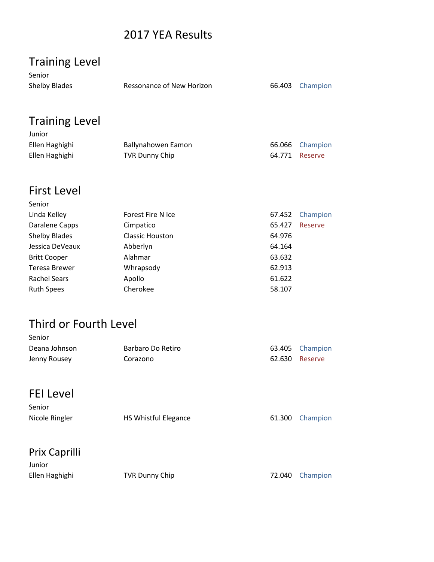## 2017 YEA Results

| <b>Training Level</b><br>Senior             |                           |                  |          |
|---------------------------------------------|---------------------------|------------------|----------|
| <b>Shelby Blades</b>                        | Ressonance of New Horizon | 66.403           | Champion |
|                                             |                           |                  |          |
| <b>Training Level</b>                       |                           |                  |          |
| Junior                                      |                           |                  |          |
| Ellen Haghighi                              | Ballynahowen Eamon        | 66.066           | Champion |
| Ellen Haghighi                              | <b>TVR Dunny Chip</b>     | 64.771           | Reserve  |
| <b>First Level</b>                          |                           |                  |          |
| Senior                                      |                           |                  |          |
| Linda Kelley                                | <b>Forest Fire N Ice</b>  | 67.452           | Champion |
| Daralene Capps                              | Cimpatico                 | 65.427           | Reserve  |
| <b>Shelby Blades</b>                        | <b>Classic Houston</b>    | 64.976           |          |
| Jessica DeVeaux                             | Abberlyn<br>Alahmar       | 64.164<br>63.632 |          |
| <b>Britt Cooper</b><br><b>Teresa Brewer</b> | Whrapsody                 | 62.913           |          |
| <b>Rachel Sears</b>                         | Apollo                    | 61.622           |          |
| <b>Ruth Spees</b>                           | Cherokee                  | 58.107           |          |
|                                             |                           |                  |          |
| Third or Fourth Level                       |                           |                  |          |
| Senior                                      |                           |                  |          |
| Deana Johnson                               | Barbaro Do Retiro         | 63.405           | Champion |
| Jenny Rousey                                | Corazono                  | 62.630           | Reserve  |
| <b>FEI Level</b>                            |                           |                  |          |
|                                             |                           |                  |          |
| Senior<br>Nicole Ringler                    | HS Whistful Elegance      | 61.300           | Champion |
|                                             |                           |                  |          |
| Prix Caprilli                               |                           |                  |          |
| Junior                                      |                           |                  |          |
| Ellen Haghighi                              | <b>TVR Dunny Chip</b>     | 72.040           | Champion |
|                                             |                           |                  |          |
|                                             |                           |                  |          |